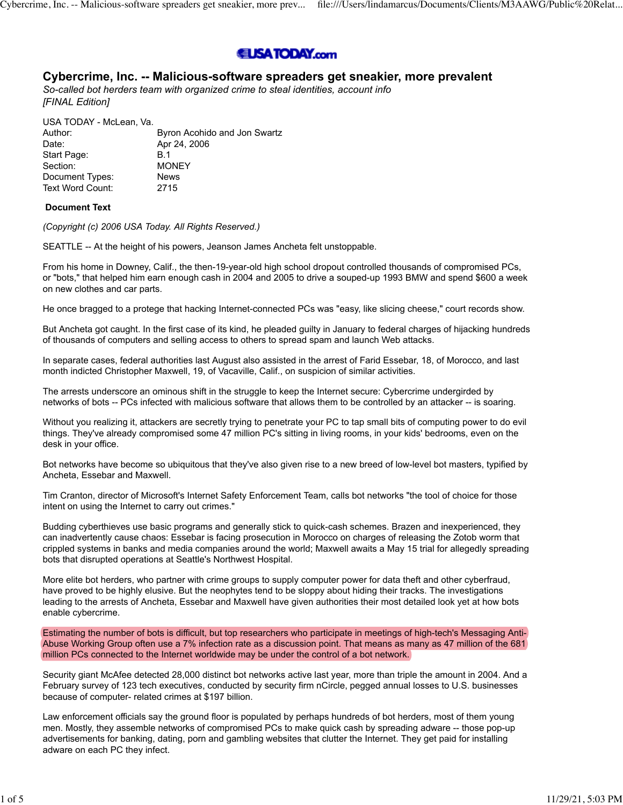# **ELISATODAY.com**

# **Cybercrime, Inc. -- Malicious-software spreaders get sneakier, more prevalent**

*So-called bot herders team with organized crime to steal identities, account info [FINAL Edition]*

USA TODAY - McLean, Va.

| Author:          | Byron Acohido and Jon Swartz |
|------------------|------------------------------|
| Date:            | Apr 24, 2006                 |
| Start Page:      | <b>B</b> 1                   |
| Section:         | <b>MONEY</b>                 |
| Document Types:  | <b>News</b>                  |
| Text Word Count: | 2715                         |
|                  |                              |

### **Document Text**

*(Copyright (c) 2006 USA Today. All Rights Reserved.)*

SEATTLE -- At the height of his powers, Jeanson James Ancheta felt unstoppable.

From his home in Downey, Calif., the then-19-year-old high school dropout controlled thousands of compromised PCs, or "bots," that helped him earn enough cash in 2004 and 2005 to drive a souped-up 1993 BMW and spend \$600 a week on new clothes and car parts.

He once bragged to a protege that hacking Internet-connected PCs was "easy, like slicing cheese," court records show.

But Ancheta got caught. In the first case of its kind, he pleaded guilty in January to federal charges of hijacking hundreds of thousands of computers and selling access to others to spread spam and launch Web attacks.

In separate cases, federal authorities last August also assisted in the arrest of Farid Essebar, 18, of Morocco, and last month indicted Christopher Maxwell, 19, of Vacaville, Calif., on suspicion of similar activities.

The arrests underscore an ominous shift in the struggle to keep the Internet secure: Cybercrime undergirded by networks of bots -- PCs infected with malicious software that allows them to be controlled by an attacker -- is soaring.

Without you realizing it, attackers are secretly trying to penetrate your PC to tap small bits of computing power to do evil things. They've already compromised some 47 million PC's sitting in living rooms, in your kids' bedrooms, even on the desk in your office.

Bot networks have become so ubiquitous that they've also given rise to a new breed of low-level bot masters, typified by Ancheta, Essebar and Maxwell.

Tim Cranton, director of Microsoft's Internet Safety Enforcement Team, calls bot networks "the tool of choice for those intent on using the Internet to carry out crimes."

Budding cyberthieves use basic programs and generally stick to quick-cash schemes. Brazen and inexperienced, they can inadvertently cause chaos: Essebar is facing prosecution in Morocco on charges of releasing the Zotob worm that crippled systems in banks and media companies around the world; Maxwell awaits a May 15 trial for allegedly spreading bots that disrupted operations at Seattle's Northwest Hospital.

More elite bot herders, who partner with crime groups to supply computer power for data theft and other cyberfraud, have proved to be highly elusive. But the neophytes tend to be sloppy about hiding their tracks. The investigations leading to the arrests of Ancheta, Essebar and Maxwell have given authorities their most detailed look yet at how bots enable cybercrime.

Estimating the number of bots is difficult, but top researchers who participate in meetings of high-tech's Messaging Anti-Abuse Working Group often use a 7% infection rate as a discussion point. That means as many as 47 million of the 681 million PCs connected to the Internet worldwide may be under the control of a bot network.

Security giant McAfee detected 28,000 distinct bot networks active last year, more than triple the amount in 2004. And a February survey of 123 tech executives, conducted by security firm nCircle, pegged annual losses to U.S. businesses because of computer- related crimes at \$197 billion.

Law enforcement officials say the ground floor is populated by perhaps hundreds of bot herders, most of them young men. Mostly, they assemble networks of compromised PCs to make quick cash by spreading adware -- those pop-up advertisements for banking, dating, porn and gambling websites that clutter the Internet. They get paid for installing adware on each PC they infect.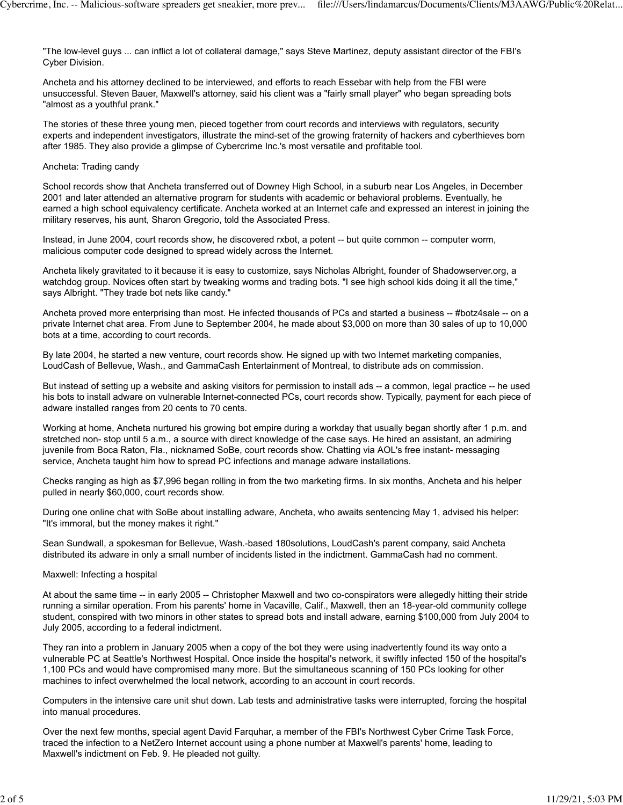"The low-level guys ... can inflict a lot of collateral damage," says Steve Martinez, deputy assistant director of the FBI's Cyber Division.

Ancheta and his attorney declined to be interviewed, and efforts to reach Essebar with help from the FBI were unsuccessful. Steven Bauer, Maxwell's attorney, said his client was a "fairly small player" who began spreading bots "almost as a youthful prank."

The stories of these three young men, pieced together from court records and interviews with regulators, security experts and independent investigators, illustrate the mind-set of the growing fraternity of hackers and cyberthieves born after 1985. They also provide a glimpse of Cybercrime Inc.'s most versatile and profitable tool.

#### Ancheta: Trading candy

School records show that Ancheta transferred out of Downey High School, in a suburb near Los Angeles, in December 2001 and later attended an alternative program for students with academic or behavioral problems. Eventually, he earned a high school equivalency certificate. Ancheta worked at an Internet cafe and expressed an interest in joining the military reserves, his aunt, Sharon Gregorio, told the Associated Press.

Instead, in June 2004, court records show, he discovered rxbot, a potent -- but quite common -- computer worm, malicious computer code designed to spread widely across the Internet.

Ancheta likely gravitated to it because it is easy to customize, says Nicholas Albright, founder of Shadowserver.org, a watchdog group. Novices often start by tweaking worms and trading bots. "I see high school kids doing it all the time," says Albright. "They trade bot nets like candy."

Ancheta proved more enterprising than most. He infected thousands of PCs and started a business -- #botz4sale -- on a private Internet chat area. From June to September 2004, he made about \$3,000 on more than 30 sales of up to 10,000 bots at a time, according to court records.

By late 2004, he started a new venture, court records show. He signed up with two Internet marketing companies, LoudCash of Bellevue, Wash., and GammaCash Entertainment of Montreal, to distribute ads on commission.

But instead of setting up a website and asking visitors for permission to install ads -- a common, legal practice -- he used his bots to install adware on vulnerable Internet-connected PCs, court records show. Typically, payment for each piece of adware installed ranges from 20 cents to 70 cents.

Working at home, Ancheta nurtured his growing bot empire during a workday that usually began shortly after 1 p.m. and stretched non- stop until 5 a.m., a source with direct knowledge of the case says. He hired an assistant, an admiring juvenile from Boca Raton, Fla., nicknamed SoBe, court records show. Chatting via AOL's free instant- messaging service, Ancheta taught him how to spread PC infections and manage adware installations.

Checks ranging as high as \$7,996 began rolling in from the two marketing firms. In six months, Ancheta and his helper pulled in nearly \$60,000, court records show.

During one online chat with SoBe about installing adware, Ancheta, who awaits sentencing May 1, advised his helper: "It's immoral, but the money makes it right."

Sean Sundwall, a spokesman for Bellevue, Wash.-based 180solutions, LoudCash's parent company, said Ancheta distributed its adware in only a small number of incidents listed in the indictment. GammaCash had no comment.

### Maxwell: Infecting a hospital

At about the same time -- in early 2005 -- Christopher Maxwell and two co-conspirators were allegedly hitting their stride running a similar operation. From his parents' home in Vacaville, Calif., Maxwell, then an 18-year-old community college student, conspired with two minors in other states to spread bots and install adware, earning \$100,000 from July 2004 to July 2005, according to a federal indictment.

They ran into a problem in January 2005 when a copy of the bot they were using inadvertently found its way onto a vulnerable PC at Seattle's Northwest Hospital. Once inside the hospital's network, it swiftly infected 150 of the hospital's 1,100 PCs and would have compromised many more. But the simultaneous scanning of 150 PCs looking for other machines to infect overwhelmed the local network, according to an account in court records.

Computers in the intensive care unit shut down. Lab tests and administrative tasks were interrupted, forcing the hospital into manual procedures.

Over the next few months, special agent David Farquhar, a member of the FBI's Northwest Cyber Crime Task Force, traced the infection to a NetZero Internet account using a phone number at Maxwell's parents' home, leading to Maxwell's indictment on Feb. 9. He pleaded not guilty.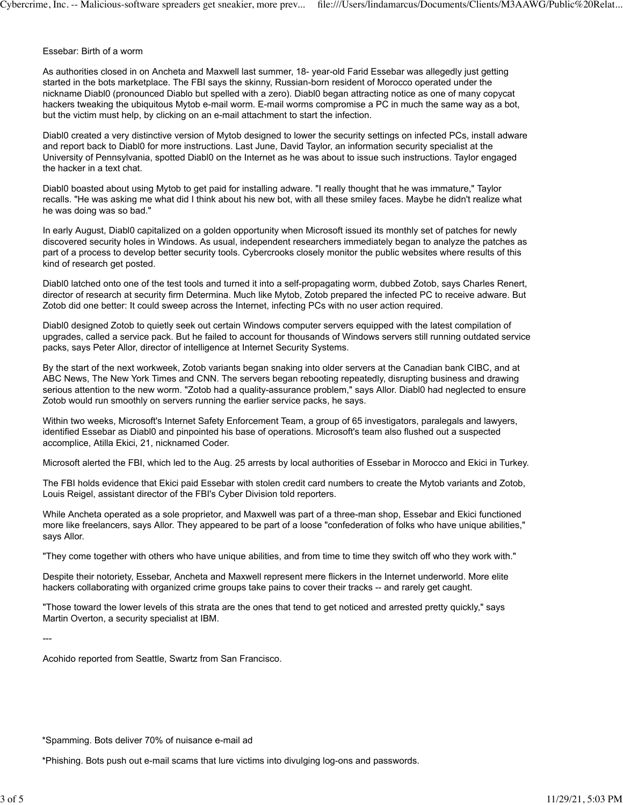Essebar: Birth of a worm

As authorities closed in on Ancheta and Maxwell last summer, 18- year-old Farid Essebar was allegedly just getting started in the bots marketplace. The FBI says the skinny, Russian-born resident of Morocco operated under the nickname Diabl0 (pronounced Diablo but spelled with a zero). Diabl0 began attracting notice as one of many copycat hackers tweaking the ubiquitous Mytob e-mail worm. E-mail worms compromise a PC in much the same way as a bot, but the victim must help, by clicking on an e-mail attachment to start the infection.

Diabl0 created a very distinctive version of Mytob designed to lower the security settings on infected PCs, install adware and report back to Diabl0 for more instructions. Last June, David Taylor, an information security specialist at the University of Pennsylvania, spotted Diabl0 on the Internet as he was about to issue such instructions. Taylor engaged the hacker in a text chat.

Diabl0 boasted about using Mytob to get paid for installing adware. "I really thought that he was immature," Taylor recalls. "He was asking me what did I think about his new bot, with all these smiley faces. Maybe he didn't realize what he was doing was so bad."

In early August, Diabl0 capitalized on a golden opportunity when Microsoft issued its monthly set of patches for newly discovered security holes in Windows. As usual, independent researchers immediately began to analyze the patches as part of a process to develop better security tools. Cybercrooks closely monitor the public websites where results of this kind of research get posted.

Diabl0 latched onto one of the test tools and turned it into a self-propagating worm, dubbed Zotob, says Charles Renert, director of research at security firm Determina. Much like Mytob, Zotob prepared the infected PC to receive adware. But Zotob did one better: It could sweep across the Internet, infecting PCs with no user action required.

Diabl0 designed Zotob to quietly seek out certain Windows computer servers equipped with the latest compilation of upgrades, called a service pack. But he failed to account for thousands of Windows servers still running outdated service packs, says Peter Allor, director of intelligence at Internet Security Systems.

By the start of the next workweek, Zotob variants began snaking into older servers at the Canadian bank CIBC, and at ABC News, The New York Times and CNN. The servers began rebooting repeatedly, disrupting business and drawing serious attention to the new worm. "Zotob had a quality-assurance problem," says Allor. Diabl0 had neglected to ensure Zotob would run smoothly on servers running the earlier service packs, he says.

Within two weeks, Microsoft's Internet Safety Enforcement Team, a group of 65 investigators, paralegals and lawyers, identified Essebar as Diabl0 and pinpointed his base of operations. Microsoft's team also flushed out a suspected accomplice, Atilla Ekici, 21, nicknamed Coder.

Microsoft alerted the FBI, which led to the Aug. 25 arrests by local authorities of Essebar in Morocco and Ekici in Turkey.

The FBI holds evidence that Ekici paid Essebar with stolen credit card numbers to create the Mytob variants and Zotob, Louis Reigel, assistant director of the FBI's Cyber Division told reporters.

While Ancheta operated as a sole proprietor, and Maxwell was part of a three-man shop, Essebar and Ekici functioned more like freelancers, says Allor. They appeared to be part of a loose "confederation of folks who have unique abilities," says Allor.

"They come together with others who have unique abilities, and from time to time they switch off who they work with."

Despite their notoriety, Essebar, Ancheta and Maxwell represent mere flickers in the Internet underworld. More elite hackers collaborating with organized crime groups take pains to cover their tracks -- and rarely get caught.

"Those toward the lower levels of this strata are the ones that tend to get noticed and arrested pretty quickly," says Martin Overton, a security specialist at IBM.

Acohido reported from Seattle, Swartz from San Francisco.

\*Spamming. Bots deliver 70% of nuisance e-mail ad

\*Phishing. Bots push out e-mail scams that lure victims into divulging log-ons and passwords.

---